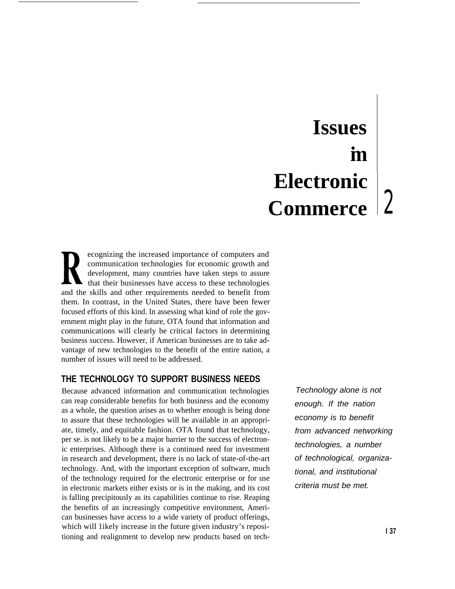# **Issues** ●**m Electronic Commerce**

ecognizing the increased importance of computers and communication technologies for economic growth and development, many countries have taken steps to assure that their businesses have access to these technologies and the skills and other requirements needed to benefit from them. In contrast, in the United States, there have been fewer focused efforts of this kind. In assessing what kind of role the government might play in the future, OTA found that information and communications will clearly be critical factors in determining business success. However, if American businesses are to take advantage of new technologies to the benefit of the entire nation, a number of issues will need to be addressed.

## **THE TECHNOLOGY TO SUPPORT BUSINESS NEEDS**

Because advanced information and communication technologies can reap considerable benefits for both business and the economy as a whole, the question arises as to whether enough is being done to assure that these technologies will be available in an appropriate, timely, and equitable fashion. OTA found that technology, per se. is not likely to be a major barrier to the success of electronic enterprises. Although there is a continued need for investment in research and development, there is no lack of state-of-the-art technology. And, with the important exception of software, much of the technology required for the electronic enterprise or for use in electronic markets either exists or is in the making, and its cost is falling precipitously as its capabilities continue to rise. Reaping the benefits of an increasingly competitive environment, American businesses have access to a wide variety of product offerings, which will 1ikely increase in the future given industry's repositioning and realignment to develop new products based on tech-

Technology alone is not enough. If the nation economy is to benefit from advanced networking technologies, a number of technological, organizational, and institutional criteria must be met.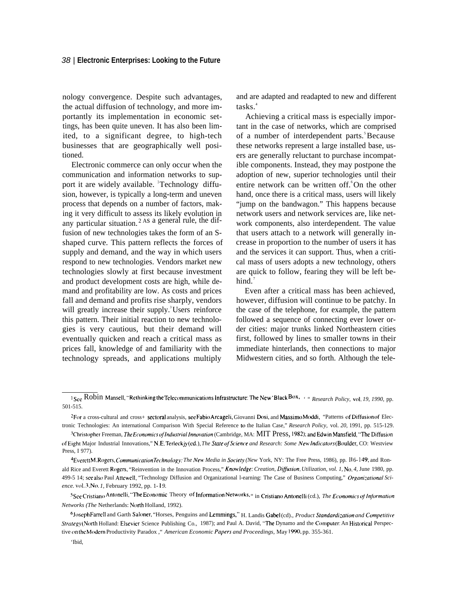#### 38 | **Electronic Enterprises: Looking to the Future**

nology convergence. Despite such advantages, the actual diffusion of technology, and more importantly its implementation in economic settings, has been quite uneven. It has also been limited, to a significant degree, to high-tech businesses that are geographically well positioned.

Electronic commerce can only occur when the communication and information networks to support it are widely available. Technology diffusion, however, is typically a long-term and uneven process that depends on a number of factors, making it very difficult to assess its likely evolution in any particular situation.  $2 \text{ As a general rule, the dif$ fusion of new technologies takes the form of an Sshaped curve. This pattern reflects the forces of supply and demand, and the way in which users respond to new technologies. Vendors market new technologies slowly at first because investment and product development costs are high, while demand and profitability are low. As costs and prices fall and demand and profits rise sharply, vendors will greatly increase their supply.<sup>3</sup>Users reinforce this pattern. Their initial reaction to new technologies is very cautious, but their demand will eventually quicken and reach a critical mass as prices fall, knowledge of and familiarity with the technology spreads, and applications multiply

and are adapted and readapted to new and different tasks.<sup>4</sup>

Achieving a critical mass is especially important in the case of networks, which are comprised of a number of interdependent parts.<sup>5</sup>Because these networks represent a large installed base, users are generally reluctant to purchase incompatible components. Instead, they may postpone the adoption of new, superior technologies until their entire network can be written off.<sup>6</sup>On the other hand, once there is a critical mass, users will likely "jump on the bandwagon." This happens because network users and network services are, like network components, also interdependent. The value that users attach to a network will generally increase in proportion to the number of users it has and the services it can support. Thus, when a critical mass of users adopts a new technology, others are quick to follow, fearing they will be left behind.<sup>7</sup>

Even after a critical mass has been achieved, however, diffusion will continue to be patchy. In the case of the telephone, for example, the pattern followed a sequence of connecting ever lower order cities: major trunks linked Northeastern cities first, followed by lines to smaller towns in their immediate hinterlands, then connections to major Midwestern cities, and so forth. Although the tele-

<sup>&</sup>lt;sup>1</sup> See Robin Mansell, "Rethinking the Telecommunications Infrastructure: The New 'Black Box, *i " Research Policy, vol. 19, 1990, pp.* 501-515.

<sup>&</sup>lt;sup>2</sup>For a cross-cultural and cross+ sectoral analysis, see Fabio Arcageli, Giovanni Dosi, and Massimo Moddi, "Patterns of Diffusion of Electronic Technologies: An international Comparison With Special Reference [o the Italian Case," *Research Policy,* vol. *20,* 1991, pp. 515-129.

<sup>&</sup>lt;sup>3</sup>Christopher Freeman, *The Economics of Industrial Innovation* (Cambridge, MA: MIT Press, 1982); and Edwin Mansfield, "The Diffusion of Eight Major Industrial Innovations," N.E. Terleckjy (cd.), *The Slate ofScience and Research: Some New' lrrdicutors* (B(wlder, CO: Westview Press, I 977).

<sup>&</sup>lt;sup>4</sup>EverettM. Rogers, *Communication Technology: The New Media in Society (New York, NY: The Free Press, 1986), pp. <sup>11</sup> 6- <sup>149</sup>; and Ron*ald Rice and Everett Rogers, "Reinvention in the Innovation Process," Knowledge: Creation, Diffusion, Utilization, vol. 1, No. 4, June 1980, pp. 499-5 14; see also Paul Attewell, "Technology Diffusion and Organizational l-earning: The Case of Business Computing," *Or,qani:ationa/ Science. vol. 3, N(). 1,* February 1992, pp. 1- i *9.*

*<sup>~</sup>Sce Crls(lano Antonel]i, '-me Ec(m(mlic* Theory of lnformati(m Networks! " in Cristiano Ant(melli (cd.), *The Etwnornics oj /njormation Networks (The Netherlands: North Holland, 1992).* 

 $6$ Joseph Farrell and Garth Saloner, "Horses, Penguins and Lemmings," H. Landis Gabel (cd)., *Product Standardization and Competitive Strategy* (North Holland: Elsevier Science Publishing Co., 1987); and Paul A. David, "The Dynamo and the Computer: An Historical Perspective on the Modern Productivity Paradox ," *American Economic Papers and Proceedings*, May 1990, pp. 355-361.

<sup>&#</sup>x27;Ibid,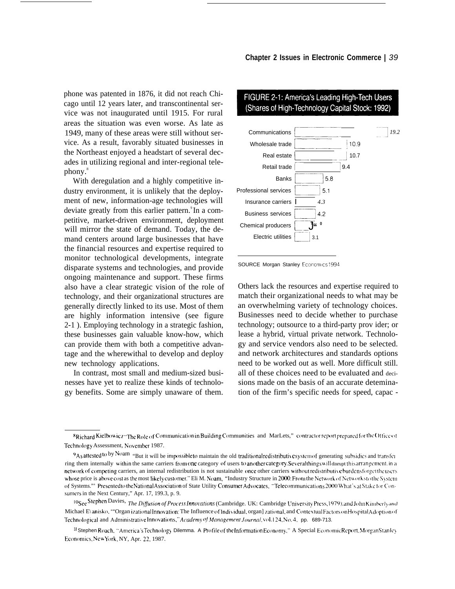phone was patented in 1876, it did not reach Chicago until 12 years later, and transcontinental service was not inaugurated until 1915. For rural areas the situation was even worse. As late as 1949, many of these areas were still without service. As a result, favorably situated businesses in the Northeast enjoyed a headstart of several decades in utilizing regional and inter-regional telephony.<sup>8</sup>

With deregulation and a highly competitive industry environment, it is unlikely that the deployment of new, information-age technologies will deviate greatly from this earlier pattern.<sup>9</sup> In a competitive, market-driven environment, deployment will mirror the state of demand. Today, the demand centers around large businesses that have the financial resources and expertise required to monitor technological developments, integrate disparate systems and technologies, and provide ongoing maintenance and support. These firms also have a clear strategic vision of the role of technology, and their organizational structures are generally directly linked to its use. Most of them are highly information intensive (see figure 2-1 ). Employing technology in a strategic fashion, these businesses gain valuable know-how, which can provide them with both a competitive advantage and the wherewithal to develop and deploy new technology applications.

In contrast, most small and medium-sized businesses have yet to realize these kinds of technology benefits. Some are simply unaware of them.

#### **c——.** '-1 *19.2* Communications ——-—- L----- w' Wholesale trade L .-l 10.7 **r** 19.4 Real estate Retail trade Banks  $5.1$ Professional services <sup>I</sup>—. Insurance carriers *I 4.3*  $\frac{4.3}{4.2}$ Business services L..-J  **4" 0** Chemical producers Electric utilities  $3.1$

## FIGURE 2-1: America's Leading High-Tech Users (Shares of High-Technology Capital Stock: 1992)



Others lack the resources and expertise required to match their organizational needs to what may be an overwhelming variety of technology choices. Businesses need to decide whether to purchase technology; outsource to a third-party prov ider; or lease a hybrid, virtual private network. Technology and service vendors also need to be selected. and network architectures and standards options need to be worked out as well. More difficult still. all of these choices need to be evaluated and decisions made on the basis of an accurate detemination of the firm's specific needs for speed, capac -

<sup>\*</sup>Richard Kielbowicz "The Role of Communication in Building Communities and MarLets," contractor report prepared for the Office of Technology Assessment, November 1987.

<sup>9</sup>As attested to by Noam "But it will be impossible to maintain the old traditional redistributive system of generating subsidies and transfer ring them internally within the same carriers from one category of users to another category. Several things will disrupt this arrangement, in a network of competing carriers, an internal redistribution is not sustainable once other carriers without redistributive burdens forget the users whose price is above cost as the most likely customer." Eli M. Noam, "Industry Structure in 2000: From the Network of Networks to the System of Systems."" Presented to the National Association of State Utility Consumer Advocates, "Telecommunications 2000 What's at Stake for Consumers in the Next Century," Apr. 17, 199.3, p. 9.

<sup>10</sup>See Stephen Davies, *The Diffusion of Process Innovations* (Cambridge. UK: Cambridge University Press, 1979), and John Kimberly and Michael E\anisko, ""Organ izational Innovation: The Influence of Individual, organ] zational, and Contextual Factors on Hospital Adoption of Technological and Administrative Innovations," *Academy <sup>of</sup> Management Journal*,  $x(0.124, No. 4, pp. 689-713.$ 

<sup>&</sup>lt;sup>11</sup> Stephen Roach, "America's Technology Dilemma. A Profile of the Information Economy," A Special Economic Report, Morgan Stanley Economics, New York, NY, Apr. 22, 1987.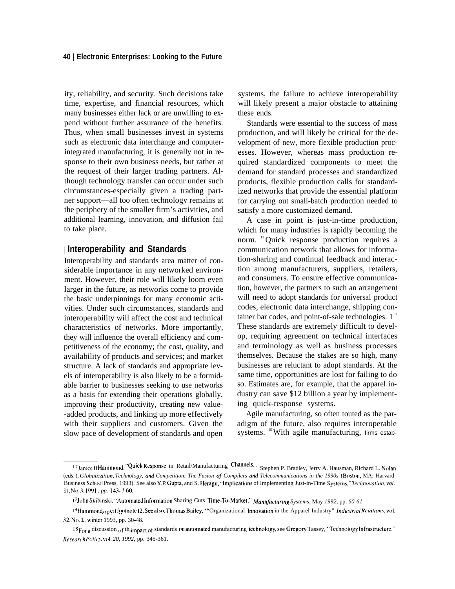ity, reliability, and security. Such decisions take time, expertise, and financial resources, which many businesses either lack or are unwilling to expend without further assurance of the benefits. Thus, when small businesses invest in systems such as electronic data interchange and computerintegrated manufacturing, it is generally not in response to their own business needs, but rather at the request of their larger trading partners. Although technology transfer can occur under such circumstances-especially given a trading partner support—all too often technology remains at the periphery of the smaller firm's activities, and additional learning, innovation, and diffusion fail to take place.

## | **Interoperability and Standards**

Interoperability and standards area matter of considerable importance in any networked environment. However, their role will likely loom even larger in the future, as networks come to provide the basic underpinnings for many economic activities. Under such circumstances, standards and interoperability will affect the cost and technical characteristics of networks. More importantly, they will influence the overall efficiency and competitiveness of the economy; the cost, quality, and availability of products and services; and market structure. A lack of standards and appropriate levels of interoperability is also likely to be a formidable barrier to businesses seeking to use networks as a basis for extending their operations globally, improving their productivity, creating new value- -added products, and linking up more effectively with their suppliers and customers. Given the slow pace of development of standards and open

systems, the failure to achieve interoperability will likely present a major obstacle to attaining these ends.

Standards were essential to the success of mass production, and will likely be critical for the development of new, more flexible production processes. However, whereas mass production required standardized components to meet the demand for standard processes and standardized products, flexible production calls for standardized networks that provide the essential platform for carrying out small-batch production needed to satisfy a more customized demand.

A case in point is just-in-time production, which for many industries is rapidly becoming the norm. <sup>12</sup>Quick response production requires a communication network that allows for information-sharing and continual feedback and interaction among manufacturers, suppliers, retailers, and consumers. To ensure effective communication, however, the partners to such an arrangement will need to adopt standards for universal product codes, electronic data interchange, shipping container bar codes, and point-of-sale technologies.  $1<sup>3</sup>$ These standards are extremely difficult to develop, requiring agreement on technical interfaces and terminology as well as business processes themselves. Because the stakes are so high, many businesses are reluctant to adopt standards. At the same time, opportunities are lost for failing to do so. Estimates are, for example, that the apparel industry can save \$12 billion a year by implementing quick-response systems.

Agile manufacturing, so often touted as the paradigm of the future, also requires interoperable systems. <sup>15</sup> With agile manufacturing, firms estab-

<sup>&</sup>lt;sup>12</sup>Janice H Hammond, "Quick Response in Retail/Manufacturing Channels, u Stephen P. Bradley, Jerry A. Hausman, Richard L. Nolan (eds.), Globalization. Technology, and Competition: The Fusion of Compilers and Telecommunications in the 1990s (Boston, MA: Harvard Business School Press, 1993). See also Y.P. Gupta, and S. Heragu, "Implications of Implementing Just-in-Time Systems," Technovation, vol. *{ 1, N(J. ~, <sup>i</sup> ~ ] , pp. ] ~~- ] 60.*

*I*<sup>3</sup>John Skibinski, "Automated Information Sharing Cuts Time-To-Market," *Manufacturing Systems, May 1992, pp. 60-61*.

<sup>&</sup>lt;sup>14</sup>Hammond<sub>op</sub> citfootnote<sup>12</sup>. See also, Thomas Bailey, "Organizational Innovation in the Apparel Industry" Industrial Relations, vol. 32, No. 1, winter 1993, pp. 30-48.

I 5For a discussion of th<sub>i</sub>mpact of standards on automated manufacturing technology, see Gregory Tassey, "Technology Infrastructure," *Research Polic)t, vol. 20, 1992,* pp. 345-361.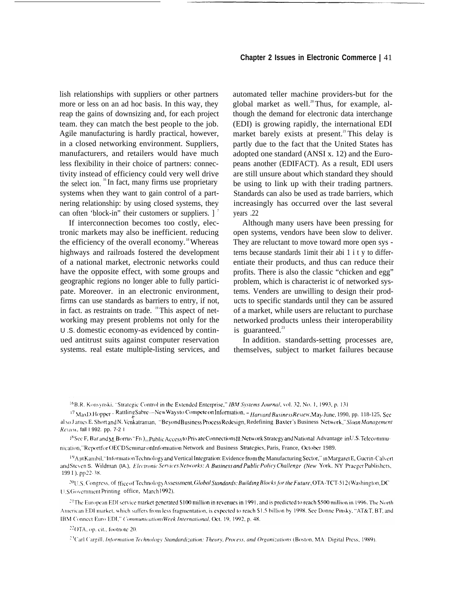lish relationships with suppliers or other partners more or less on an ad hoc basis. In this way, they reap the gains of downsizing and, for each project team. they can match the best people to the job. Agile manufacturing is hardly practical, however, in a closed networking environment. Suppliers, manufacturers, and retailers would have much less flexibility in their choice of partners: connectivity instead of efficiency could very well drive the select ion.<sup>16</sup>In fact, many firms use proprietary systems when they want to gain control of a partnering relationship: by using closed systems, they can often 'block-in'' their customers or suppliers.  $\vert$ <sup>7</sup>

If interconnection becomes too costly, electronic markets may also be inefficient. reducing the efficiency of the overall economy.<sup>18</sup>Whereas highways and railroads fostered the development of a national market, electronic networks could have the opposite effect, with some groups and geographic regions no longer able to fully partici- . pate. Moreover. in an electronic environment, firms can use standards as barriers to entry, if not, in fact. as restraints on trade. 19 This aspect of networking may present problems not only for the U .S. domestic economy-as evidenced by continued antitrust suits against computer reservation systems. real estate multiple-listing services, and automated teller machine providers-but for the global market as well.<sup>20</sup> Thus, for example, although the demand for electronic data interchange (EDI) is growing rapidly, the international EDI market barely exists at present.<sup>21</sup> This delay is partly due to the fact that the United States has adopted one standard (ANSI x. 12) and the Europeans another (EDIFACT). As a result, EDI users are still unsure about which standard they should be using to link up with their trading partners. Standards can also be used as trade barriers, which increasingly has occurred over the last several years .22

Although many users have been pressing for open systems, vendors have been slow to deliver. They are reluctant to move toward more open sys terns because standards 1imit their abi 1 i t y to differentiate their products, and thus can reduce their profits. There is also the classic "chicken and egg" problem, which is characterist ic of networked systems. Venders are unwilling to design their products to specific standards until they can be assured of a market, while users are reluctant to purchase networked products unless their interoperability is guaranteed. $^{23}$ 

In addition. standards-setting processes are, themselves, subject to market failures because

<sup>16</sup>B.R. Konsynski, "Strategic Control in the Extended Enterprise," IBM Systems Journal, vol. 32, No. 1, 1993, p. 131

<sup>17</sup> MaxD.Hopper – Rattling Sabre—New Ways to Compete on Information, "Harvard Business Review, May -June, 1990, pp. 118-125, See al so J ames E. Short and N. Venkatraman, "Beyond Business Process Redesign, Redefining Baxter's Business Network," Sloan Management Review, fall I 992. pp. 7-2 I

<sup>18</sup>See F, Bar and M<sub>.</sub> Borrus "Fr( )<sub>111</sub> Public Access to Private Connections II: Network Strategy and National Advantage in U.S. Telecommunication," Reportfor OECD Seminar on Information Network and Business Strategies, Paris, France, October 1989.

<sup>19</sup>A<sub>J</sub>It Kambil, "Information Technology and Vertical Integration: Evidence from the Manufacturing Sector," in Margaret E, Guerin-Calvert and Steven S. Wildman (IA.), *Electronic Services Networks: A Business and Public Policy Challenge (New York, NY Praeger Publishers,* 199 I ). pp 22-38.

~(~(l,s, ('f)ngrc~f, Of fIcc ~~f Tcchn{~l(~g) ,Asscssmcnt, (j/tjba/ *.Sfandard.s: Blii/djng [~loch'!,for the Furl/rc,* OTA-TCT-S 12 (V'aih]ngton. DC U.S Government Printing office, March 1992).

<sup>21</sup>The European EDI service market generated \$100 million in revenues in 1991, and is predicted to reach \$500 million in 1996. The North American EDI market, which suffers from less fragmentation, is expected to reach \$1.5 billion by 1998. See Donne Pinsky, "AT&T, BT, and IBM Connect Euro EDI," CommunicationsWeek International, Oct. 19, 1992, p. 48.

<sup>22</sup>OTA, op. cit., footnote 20.

<sup>23</sup>Carl Cargill. Information Technology Standardization: Theory, Process, and Organizations (Boston, MA: Digital Press, 1989).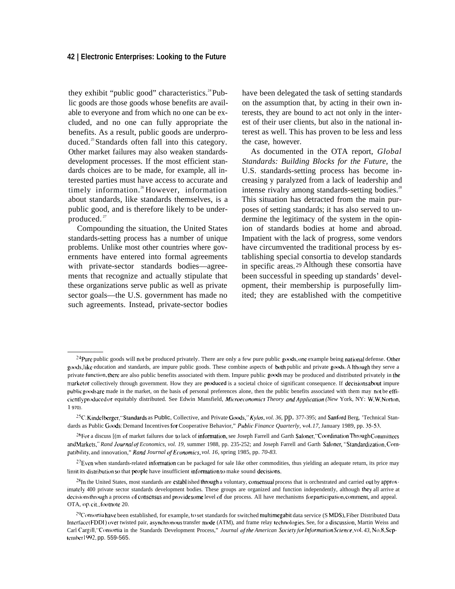#### **42 | Electronic Enterprises: Looking to the Future**

they exhibit "public good" characteristics. $24$  Public goods are those goods whose benefits are available to everyone and from which no one can be excluded, and no one can fully appropriate the benefits. As a result, public goods are underproduced.<sup>25</sup> Standards often fall into this category. Other market failures may also weaken standardsdevelopment processes. If the most efficient standards choices are to be made, for example, all interested parties must have access to accurate and timely information.<sup>26</sup>However, information about standards, like standards themselves, is a public good, and is therefore likely to be underproduced.<sup>27</sup>

Compounding the situation, the United States standards-setting process has a number of unique problems. Unlike most other countries where governments have entered into formal agreements with private-sector standards bodies—agreements that recognize and actually stipulate that these organizations serve public as well as private sector goals—the U.S. government has made no such agreements. Instead, private-sector bodies have been delegated the task of setting standards on the assumption that, by acting in their own interests, they are bound to act not only in the interest of their user clients, but also in the national interest as well. This has proven to be less and less the case, however.

As documented in the OTA report, *Global Standards: Building Blocks for the Future,* the U.S. standards-setting process has become increasing y paralyzed from a lack of leadership and intense rivalry among standards-setting bodies.<sup>28</sup> This situation has detracted from the main purposes of setting standards; it has also served to undermine the legitimacy of the system in the opinion of standards bodies at home and abroad. Impatient with the lack of progress, some vendors have circumvented the traditional process by establishing special consortia to develop standards in specific areas. <sup>29</sup>Although these consortia have been successful in speeding up standards' development, their membership is purposefully limited; they are established with the competitive

<sup>&</sup>lt;sup>24</sup>Pure public goods will not be produced privately. There are only a few pure public goods, one example being national defense. Other goods, like education and standards, are impure public goods. These combine aspects of both public and private goods. A Ithough they serve a private function, there are also public benefits associated with them. Impure public goods may be produced and distributed privately in the market or collectively through government. How they are produced is a societal choice of significant consequence. If decisions about impure public goods are made in the market, on the basis of personal preferences alone, then the public benefits associated with them may not be efficiently produced or equitably distributed. See Edwin Mansfield, *Microeconomics Theory and Application (New York, NY: W.W. Norton,* <sup>I</sup> *970).*

<sup>&</sup>lt;sup>25</sup>C. Kindelberger, "Standards as Public, Collective, and Private Goods," *Kylos, vol. 36*, pp. 377-395; and Sanford Berg, 'Technical Standards as Public Goods: Demand Incentives for Cooperative Behavior," *Public Finance Quarterly, vol. 17, January 1989, pp.* 35-53.

<sup>&</sup>lt;sup>26</sup>For a discuss [(m of market failures due to lack of information, see Joseph Farrell and Garth Saloner, "Coordination Through Committees and Markets," Rand Journal of Economics, vol. 19, summer 1988, pp. 235-252; and Joseph Farrell and Garth Saloner, "Standardization, Compatibility, and innovation," *Rand Journal of Economics, vol. 16*, spring 1985, pp. 70-83.

 $27$ Even when standards-related information can be packaged for sale like other commodities, thus yielding an adequate return, its price may limit its distribution so that people have insufficient information to make sound decisions.

<sup>&</sup>lt;sup>28</sup>In the United States, most standards are establ ished through a voluntary, consensual process that is orchestrated and carried out by approximately 400 private sector standards development bodies. These groups are organized and function independently, although they all arrive at decisions through a process of consensus and provide some level of due process. All have mechanisms for participation, comment, and appeal. OTA, op.cit., footnote 20.

<sup>&</sup>lt;sup>29</sup>Consortia have been established, for example, to set standards for switched multimegabit data service (S MDS), Fiber Distributed Data Interface (FDDI) over twisted pair, asynchronous transfer mode (ATM), and frame relay technologies. See, for a discussion, Martin Weiss and Carl Cargill, "Consortia in the Standards Development Process," *Journal of the American Society for Information Science*, vol. 43, No.8, Septcmbcr 1992, pp. 559-565.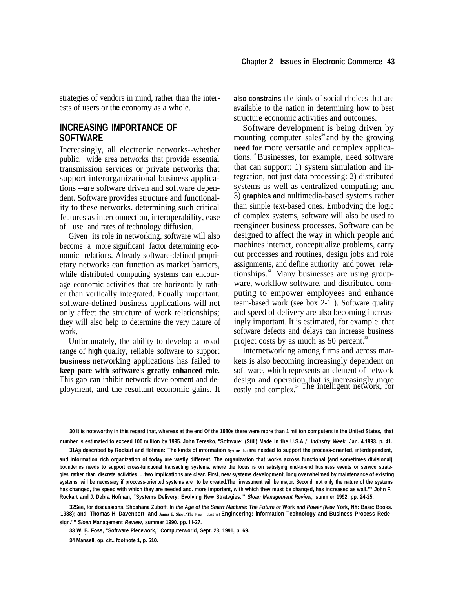strategies of vendors in mind, rather than the interests of users or **the** economy as a whole.

## **INCREASING IMPORTANCE OF SOFTWARE**

Increasingly, all electronic networks--whether public, wide area networks that provide essential transmission services or private networks that support interorganizational business applications --are software driven and software dependent. Software provides structure and functionality to these networks. determining such critical features as interconnection, interoperability, ease of use and rates of technology diffusion.

Given its role in networking, software will also become a more significant factor determining economic relations. Already software-defined proprietary networks can function as market barriers, while distributed computing systems can encourage economic activities that are horizontally rather than vertically integrated. Equally important. software-defined business applications will not only affect the structure of work relationships; they will also help to determine the very nature of work.

Unfortunately, the ability to develop a broad range of **high** quality, reliable software to support **business** networking applications has failed to **keep pace with software's greatly enhanced role.** This gap can inhibit network development and deployment, and the resultant economic gains. It **also constrains** the kinds of social choices that are available to the nation in determining how to best structure economic activities and outcomes.

Software development is being driven by mounting computer sales $\delta$  and by the growing **need for** more versatile and complex applications.<sup>31</sup>Businesses, for example, need software that can support: 1) system simulation and integration, not just data processing: 2) distributed systems as well as centralized computing; and 3) **graphics and** nultimedia-based systems rather than simple text-based ones. Embodying the logic of complex systems, software will also be used to reengineer business processes. Software can be designed to affect the way in which people and machines interact, conceptualize problems, carry out processes and routines, design jobs and role assignments, and define authority and power relationships.<sup>32</sup> Many businesses are using groupware, workflow software, and distributed computing to empower employees and enhance team-based work (see box 2-1 ). Software quality and speed of delivery are also becoming increasingly important. It is estimated, for example. that software defects and delays can increase business project costs by as much as 50 percent. $33$ 

Internetworking among firms and across markets is also becoming increasingly dependent on soft ware, which represents an element of network design and operation that is increasingly more  $T_{\text{cost}}$  and  $T_{\text{t}}$  and  $T_{\text{t}}$  and  $T_{\text{t}}$  and  $T_{\text{t}}$  and  $T_{\text{t}}$  and  $T_{\text{t}}$  and  $T_{\text{t}}$  and  $T_{\text{t}}$  and  $T_{\text{t}}$  and  $T_{\text{t}}$  and  $T_{\text{t}}$  and  $T_{\text{t}}$  and  $T_{\text{t}}$  and  $T_{\text{t}}$  and  $T_{\text{t}}$  a

**30 It is noteworthy in this regard that, whereas at the end Of the 1980s there were more than 1 million computers in the United States, that numher is estimated to exceed 100 million by 1995. John Teresko, "Software: (Still) Made in the U.S.A.," Industry Week, Jan. 4.1993. p. 41.**

**31As described by Rockart and Hofman:"The kinds of information Systcms that are needed to support the process-oriented, interdependent, . . and information rich organization of today are vastly different. The organization that works across functional (and sometimes divisional) bounderies needs to support cross-functional transacting systems. where the focus is on satisfying end-to-end business events or service strategies rather than discrete activities. . . .two implications are clear. First, new systems development, Iong overwhelmed by maintenance of existing systems, will be necessary if proccess-oriented systems are to be created.The investment will be major. Second, not only the nature of the systems has changed, the speed with which they are needed and. more important, with which they must be changed, has increased as wall."" John F. Rockart and J. Debra Hofman, "Systems Delivery: Evolving New Strategies."' Sloan Management Review, summer 1992. pp. 24-25.**

**32See, for discussions. Shoshana Zuboff, In the Age of the Smart Machine: The Future of Work and Power (New York, NY: Basic Books. 1988); and Thomas H. Davenport and James E. Short,"Thc** NeW Industrial **Engineering: lnformation Technology and Business Process Redesign."" Sloan Management Review, summer 1990. pp. I I-27.**

**33 W. B. Foss, "Software Piecework," Computerworld, Sept. 23, 1991, p. 69. . .**

**34 Mansell, op. cit., footnote 1, p. 510.**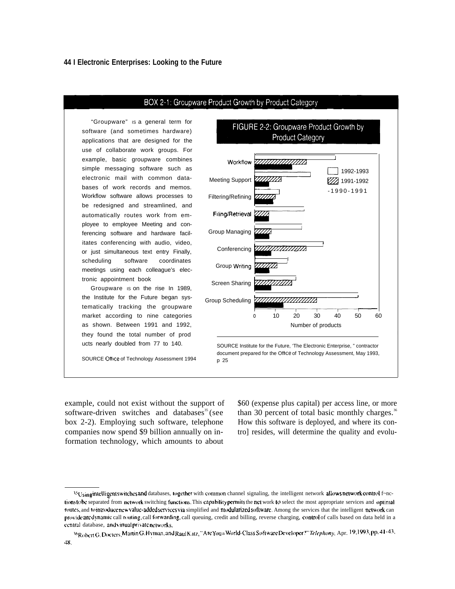#### **44 I Electronic Enterprises: Looking to the Future**



software (and sometimes hardware) applications that are designed for the use of collaborate work groups. For example, basic groupware combines simple messaging software such as electronic mail with common databases of work records and memos. Workflow software allows processes to be redesigned and streamlined, and automatically routes work from employee to employee Meeting and conferencing software and hardware facilitates conferencing with audio, video, or just simultaneous text entry Finally, scheduling software coordinates meetings using each colleague's electronic appointment book

Groupware IS on the rise In 1989, the Institute for the Future began systematically tracking the groupware market according to nine categories as shown. Between 1991 and 1992, they found the total number of prod ucts nearly doubled from 77 to 140.

SOURCE Office of Technology Assessment 1994

example, could not exist without the support of \$60 (expense plus capital) per access line, or more software-driven switches and databases<sup>35</sup> (see than 30 percent of total basic monthly charges.<sup>36</sup> box 2-2). Employing such software, telephone How this software is deployed, and where its concompanies now spend \$9 billion annually on in- tro] resides, will determine the quality and evoluformation technology, which amounts to about

<sup>&</sup>lt;sup>45</sup>Usingintelligentswitches and databases, together with common channel signaling, the intelligent network allows network control f~nctions to be separated from network switching functions. This capability permits the net work to select the most appropriate services and optimal routes, and to introduce new value-added services via simplified and modularized software. Among the services that the intelligent network can provide are dynamic call routing, call forwarding, call queuing, credit and billing, reverse charging, control of calls based on data held in a central database, and virtual private networks.

<sup>&</sup>lt;sup>36</sup>Robert G. Docters, Martin G. Hyman, and Raul Katz, "Are Youa World-Class Software Developer?" Telephony, Apr. 19,1993, pp. 41-43, 48.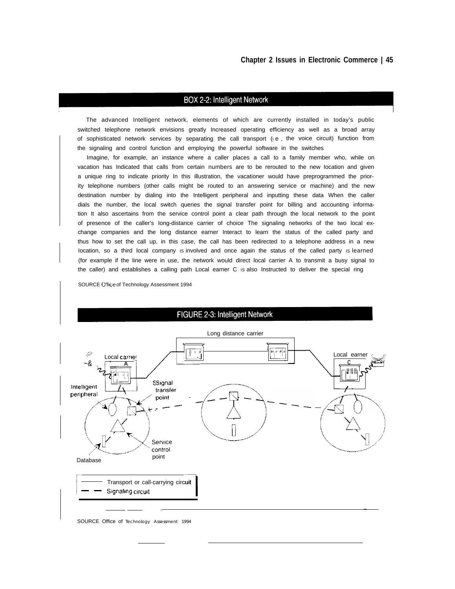#### BOX 2-2: Intelligent Network

The advanced Intelligent network, elements of which are currently installed in today's public switched telephone network envisions greatly Increased operating efficiency as well as a broad array of sophisticated network services by separating the call transport (i.e., the voice circuit) function from the signaling and control function and employing the powerful software in the switches

Imagine, for example, an instance where a caller places a call to a family member who, while on vacation has Indicated that calls from certain numbers are to be rerouted to the new Iocation and given a unique ring to indicate priority In this illustration, the vacationer would have preprogrammed the priority telephone numbers (other calls might be routed to an answering service or machine) and the new destination number by dialing into the Intelligent peripheral and inputting these data When the caller dials the number, the local switch queries the signal transfer point for billing and accounting information It also ascertains from the service control point a clear path through the local network to the point of presence of the caller's Iong-distance carrier of choice The signaling networks of the two local exchange companies and the long distance earner Interact to learn the status of the called party and thus how to set the call up, in this case, the call has been redirected to a telephone address in a new location, so a third local company is involved and once again the status of the called party is learned (for example if the Iine were in use, the network would direct local carrier A to transmit a busy signal to the caller) and establishes a calling path Local earner C is also Instructed to deliver the special ring

SOURCE of Technology Assessment 1994



#### FIGURE 2-3: Intelligent Network

SOURCE Office of Technology Assessment 1994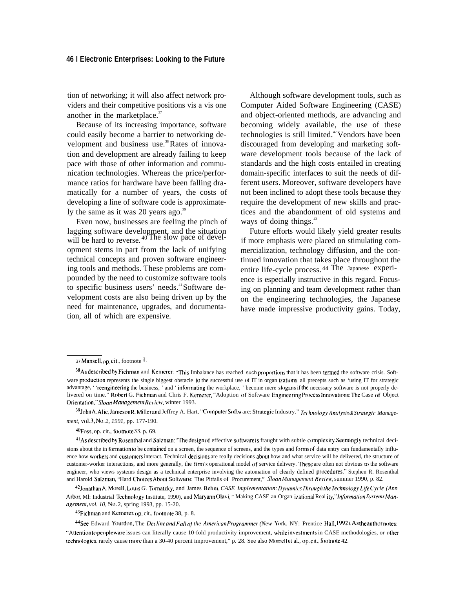#### **46 I Electronic Enterprises: Looking to the Future**

tion of networking; it will also affect network providers and their competitive positions vis a vis one another in the marketplace. $37$ 

Because of its increasing importance, software could easily become a barrier to networking development and business use.<sup>38</sup>Rates of innovation and development are already failing to keep pace with those of other information and communication technologies. Whereas the price/performance ratios for hardware have been falling dramatically for a number of years, the costs of developing a line of software code is approximately the same as it was 20 years ago. $39$ 

Even now, businesses are feeling the pinch of lagging software development, and the situation will be hard to reverse.<sup>40</sup>The slow pace of development stems in part from the lack of unifying technical concepts and proven software engineering tools and methods. These problems are compounded by the need to customize software tools to specific business users' needs.<sup>41</sup> Software development costs are also being driven up by the need for maintenance, upgrades, and documentation, all of which are expensive.

Although software development tools, such as Computer Aided Software Engineering (CASE) and object-oriented methods, are advancing and becoming widely available, the use of these technologies is still limited.<sup>42</sup> Vendors have been discouraged from developing and marketing software development tools because of the lack of standards and the high costs entailed in creating domain-specific interfaces to suit the needs of different users. Moreover, software developers have not been inclined to adopt these tools because they require the development of new skills and practices and the abandonment of old systems and ways of doing things.<sup>43</sup>

Future efforts would likely yield greater results if more emphasis were placed on stimulating commercialization, technology diffusion, and the continued innovation that takes place throughout the entire life-cycle process. <sup>44</sup>The Japanese experience is especially instructive in this regard. Focusing on planning and team development rather than on the engineering technologies, the Japanese have made impressive productivity gains. Today,

39 John A. Alic, Jameson R. Miller and Jeffrey A. Hart, "Computer Software: Strategic Industry." *Technology Analysis & Strategic Management, vol. 3, N(). 2, 1991,* pp. 177-190.

 $40$ Foss, op. cit., footnote 33, p. 69.

~2Jonath~ A. More]t, Louis *G.* Tomatzky, and James Behm, *CASE /mp/en]entation: [>~namics 7'hrough /he Technology L.lje CY('/e (Ann* Arbor, Ml: Industrial Technology Institute, 1990), and Maryann Olavi, " Making CASE an Organ izational Real ity," *Information Systems Management, vol. 10, No. 2, spring 1993, pp. 15-20.* 

43 Fichman and Kemerer, op. cit., footnote 38, p. 8.

~See Edward Yourdon," The De(/ine and *Fa// oj the Ameri(wn Progranvner (New* York, NY: Prentice Hall, 1992). *AS the author notes:* "Attention to peopleware issues can literally cause 10-fold productivity improvement, while investments in CASE methodologies, or other technologies, rarely cause more than a 30-40 percent improvement," p. 28. See also Morrell et al., op. cit., footnote 42.

*<sup>37</sup> Mansel],* op. cit., footnote 1.

<sup>38</sup> As described by Fichman and Kemerer: "This Imbalance has reached such proportions that it has been termed the software crisis. Software production represents the single biggest obstacle to the successful use of IT in organ izations: all precepts such as 'using IT for strategic advantage, "reengineering the business, ' and ' informating the workplace, ' become mere slogans if the necessary software is not properly delivered on time." Robert G. Fichman and Chris F. Kemerer, "Adoption of Software Engineering Process Innovations: The Case of Object Orientation," Sloan Management Review, winter 1993.

<sup>41</sup> As described by Rosenthal and Salzman: "The design of effective software is fraught with subtle complexity. Seemingly technical decisions about the in formation to be contained on a screen, the sequence of screens, and the types and forms of data entry can fundamentally influence how workers and customers interact. Technical decisions are really decisions about how and what service will be delivered, the structure of customer-worker interactions, and more generally, the firm's operational model of service delivery. These are often not obvious to the software engineer, who views systems design as a technical enterprise involving the automation of clearly defined procedures.'" Stephen R. Rosenthal and Harold Salzman, "Hard Choices About Software: The Pitfalls of Procurement," *Sloan Management Review*, summer 1990, p. 82.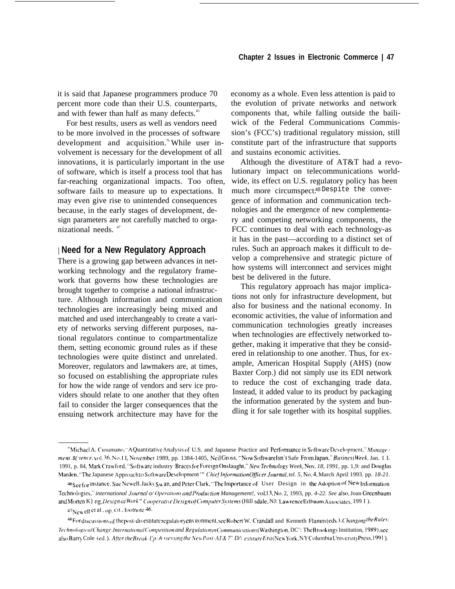it is said that Japanese programmers produce 70 percent more code than their U.S. counterparts, and with fewer than half as many defects.<sup>45</sup>

For best results, users as well as vendors need to be more involved in the processes of software development and acquisition.% While user involvement is necessary for the development of all innovations, it is particularly important in the use of software, which is itself a process tool that has far-reaching organizational impacts. Too often, software fails to measure up to expectations. It may even give rise to unintended consequences because, in the early stages of development, design parameters are not carefully matched to organizational needs.  $47$ 

#### | **Need for a New Regulatory Approach**

There is a growing gap between advances in networking technology and the regulatory framework that governs how these technologies are brought together to comprise a national infrastructure. Although information and communication technologies are increasingly being mixed and matched and used interchangeably to create a variety of networks serving different purposes, national regulators continue to compartmentalize them, setting economic ground rules as if these technologies were quite distinct and unrelated. Moreover, regulators and lawmakers are, at times, so focused on establishing the appropriate rules for how the wide range of vendors and serv ice providers should relate to one another that they often fail to consider the larger consequences that the ensuing network architecture may have for the

economy as a whole. Even less attention is paid to the evolution of private networks and network components that, while falling outside the bailiwick of the Federal Communications Commission's (FCC's) traditional regulatory mission, still constitute part of the infrastructure that supports and sustains economic activities.

Although the divestiture of AT&T had a revolutionary impact on telecommunications worldwide, its effect on U.S. regulatory policy has been much more circumspect.48 Despite the convergence of information and communication technologies and the emergence of new complementary and competing networking components, the FCC continues to deal with each technology-as it has in the past—according to a distinct set of rules. Such an approach makes it difficult to develop a comprehensive and strategic picture of how systems will interconnect and services might best be delivered in the future.

This regulatory approach has major implications not only for infrastructure development, but also for business and the national economy. In economic activities, the value of information and communication technologies greatly increases when technologies are effectively networked together, making it imperative that they be considered in relationship to one another. Thus, for example, American Hospital Supply (AHS) (now Baxter Corp.) did not simply use its EDI network to reduce the cost of exchanging trade data. Instead, it added value to its product by packaging the information generated by the system and bundling it for sale together with its hospital supplies.

<sup>&</sup>lt;sup>45</sup>Michael A. Cusumano, "A Quantitative Analysis of U.S. and Japanese Practice and Performance in Software Development," Manage ment .\$( ience, vol. 36, No. II, November 1989, pp. 1384-1405, Neil Gross, "Now Software Isn't Safe From Japan," Business Week, Jan. 1 I. 1991, p. 84, Mark Crawford, "Software industry Braces for Foreign Onslaught," New Technology Week, Nov. 18, 1991, pp. 1,9: and Douglas Marden, "The Japanese Approach to Software Development" *Chief Information Officer Journal, tel.* 5, No. 4, March April 1993. pp. 18-21.

<sup>&</sup>lt;sup>46</sup>See f<sub>or</sub> instance, Sue Newell, Jacky S<sub>W</sub> an, and Peter Clark, "The Importance of User Design in the Adoption of New Information Technologies," international Journal o/ Operations and Production Management!, vol.13, No.2, 1993, pp. 4-22. See also, Joan Greenbaum and Morten K} ng, *Designat Work" Cooperative Design of Computer Systems* (Hill sdale, NJ: Lawrence Erlbaum Associates, 199 I).

<sup>47</sup> New ell et al., op. cit., footnote 46.

 $^{48}$ For discussions of the post-divestiture regulatory environment, see Robert W. Crandall and Kenneth Flamm (eds.), Changing the Rules: *Technological Change, International Competition and Regulation in Communications (Washington, DC': The Brookings Institution, 1989); see* also Barry Cole (ed.). After the Break-Up: A ssessing the New Post-AT& 7' D/\ estiture Era (New York, NY Columbia University Press, 1991).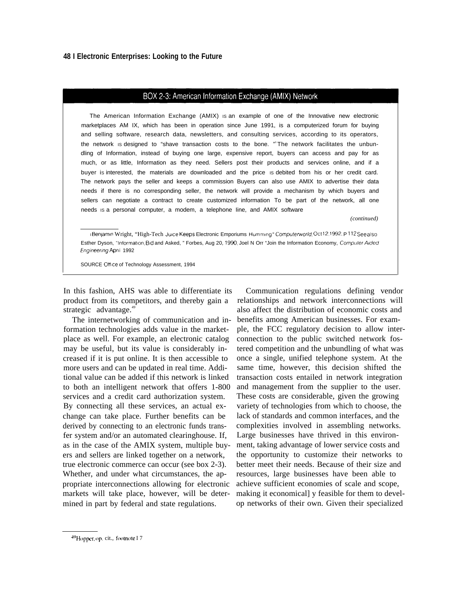#### BOX 2-3: American Information Exchange (AMIX) Network

The American Information Exchange (AMIX) IS an example of one of the Innovative new electronic marketplaces AM IX, which has been in operation since June 1991, is a computerized forum for buying and selling software, research data, newsletters, and consulting services, according to its operators, the network is designed to "shave transaction costs to the bone. " The network facilitates the unbundling of Information, instead of buying one large, expensive report, buyers can access and pay for as much, or as little, Information as they need. Sellers post their products and services online, and if a buyer is interested, the materials are downloaded and the price is debited from his or her credit card. The network pays the seller and keeps a commission Buyers can also use AMIX to advertise their data needs if there is no corresponding seller, the network will provide a mechanism by which buyers and sellers can negotiate a contract to create customized information To be part of the network, all one needs IS a personal computer, a modem, a telephone Iine, and AMIX software

*(continued)*

IBenjamin Wright, "High-Tech Juice Keeps Electronic Emporiums Humming " Computerworld, Oct12,1992. P 112 See also Esther Dyson, "information, Bid and Asked, " Forbes, Aug 20, 1990; Joel N Orr "Join the Information Economy, Computer Aided Engineering April 1992

SOURCE Office of Technology Assessment, 1994

product from its competitors, and thereby gain a strategic advantage.<sup>49</sup>

The internetworking of communication and information technologies adds value in the marketplace as well. For example, an electronic catalog may be useful, but its value is considerably increased if it is put online. It is then accessible to more users and can be updated in real time. Additional value can be added if this network is linked to both an intelligent network that offers 1-800 services and a credit card authorization system. By connecting all these services, an actual exchange can take place. Further benefits can be derived by connecting to an electronic funds transfer system and/or an automated clearinghouse. If, as in the case of the AMIX system, multiple buyers and sellers are linked together on a network, true electronic commerce can occur (see box 2-3). Whether, and under what circumstances, the appropriate interconnections allowing for electronic markets will take place, however, will be determined in part by federal and state regulations.

In this fashion, AHS was able to differentiate its Communication regulations defining vendor relationships and network interconnections will also affect the distribution of economic costs and benefits among American businesses. For example, the FCC regulatory decision to allow interconnection to the public switched network fostered competition and the unbundling of what was once a single, unified telephone system. At the same time, however, this decision shifted the transaction costs entailed in network integration and management from the supplier to the user. These costs are considerable, given the growing variety of technologies from which to choose, the lack of standards and common interfaces, and the complexities involved in assembling networks. Large businesses have thrived in this environment, taking advantage of lower service costs and the opportunity to customize their networks to better meet their needs. Because of their size and resources, large businesses have been able to achieve sufficient economies of scale and scope, making it economical] y feasible for them to develop networks of their own. Given their specialized

<sup>49</sup> Hopper, op. cit., footnote I 7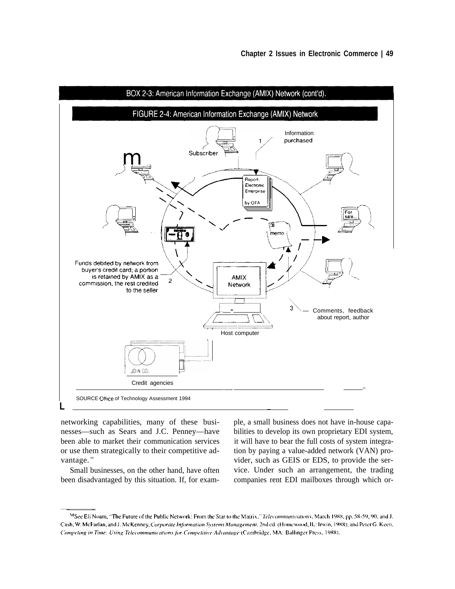

networking capabilities, many of these busi-<br>ple, a small business does not have in-house capanesses—such as Sears and J.C. Penney—have bilities to develop its own proprietary EDI system, been able to market their communication services it will have to bear the full costs of system integraor use them strategically to their competitive ad- tion by paying a value-added network (VAN) provantage.<sup>80</sup> vider, such as GEIS or EDS, to provide the ser-

been disadvantaged by this situation. If, for exam- companies rent EDI mailboxes through which or-

Small businesses, on the other hand, have often vice. Under such an arrangement, the trading

<sup>&</sup>lt;sup>50</sup>See Eli Noam, "The Future of the Public Network: From the Star to the Matrix," Telecommunications, March 1988, pp. 58-59, 90; and J. Cash, W. McFarlan, and J. McKenney, Corporate Information Systems Management, 2nd ed. (Homewood, IL: Irwin, 1988); and Peter G. Keen, Competing in Time: Using Telecommunications for Competitive Advantage (Cambridge, MA: Ballinger Press, 1988).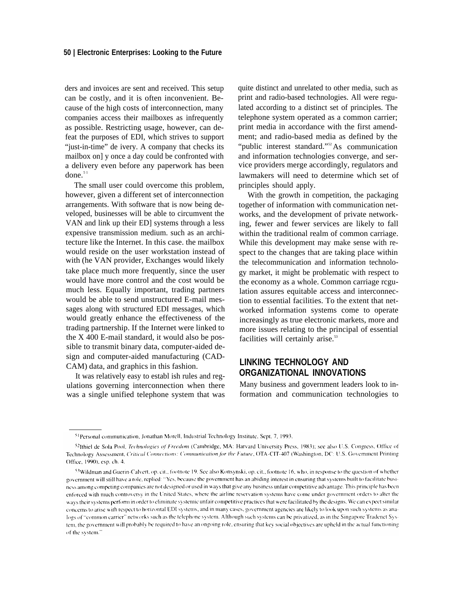ders and invoices are sent and received. This setup can be costly, and it is often inconvenient. Because of the high costs of interconnection, many companies access their mailboxes as infrequently as possible. Restricting usage, however, can defeat the purposes of EDI, which strives to support "just-in-time" de ivery. A company that checks its mailbox on] y once a day could be confronted with a delivery even before any paperwork has been done. $51$ 

The small user could overcome this problem, however, given a different set of interconnection arrangements. With software that is now being developed, businesses will be able to circumvent the VAN and link up their ED] systems through a less expensive transmission medium. such as an architecture like the Internet. In this case. the mailbox would reside on the user workstation instead of with (he VAN provider, Exchanges would likely take place much more frequently, since the user would have more control and the cost would be much less. Equally important, trading partners would be able to send unstructured E-mail messages along with structured EDI messages, which would greatly enhance the effectiveness of the trading partnership. If the Internet were linked to the X 400 E-mail standard, it would also be possible to transmit binary data, computer-aided design and computer-aided manufacturing (CAD-CAM) data, and graphics in this fashion.

It was relatively easy to establ ish rules and regulations governing interconnection when there was a single unified telephone system that was quite distinct and unrelated to other media, such as print and radio-based technologies. All were regulated according to a distinct set of principles. The telephone system operated as a common carrier; print media in accordance with the first amendment; and radio-based media as defined by the "public interest standard."<sup>52</sup>As communication and information technologies converge, and service providers merge accordingly, regulators and lawmakers will need to determine which set of principles should apply.

With the growth in competition, the packaging together of information with communication networks, and the development of private networking, fewer and fewer services are likely to fall within the traditional realm of common carriage. While this development may make sense with respect to the changes that are taking place within the telecommunication and information technology market, it might be problematic with respect to the economy as a whole. Common carriage rcgulation assures equitable access and interconnection to essential facilities. To the extent that networked information systems come to operate increasingly as true electronic markets, more and more issues relating to the principal of essential facilities will certainly arise.<sup>53</sup>

## **LINKING TECHNOLOGY AND ORGANIZATIONAL INNOVATIONS**

Many business and government leaders look to information and communication technologies to

<sup>&</sup>lt;sup>51</sup>Personal communication, Jonathan Morell, Industrial Technology Institute, Sept. 7, 1993.

<sup>52</sup>Ithiel de Sola Pool, Technologies of Freedom (Cambridge, MA: Harvard University Press, 1983); see also U.S. Congress, Office of Technology Assessment, Critical Connections: Communication for the Future, OTA-CIT-407 (Washington, DC: U.S. Government Printing Office, 1990), esp. ch. 4.

<sup>53</sup>Wildman and Guerin-Calvert, op. cit., footnote 19. See also Konsynski, op. cit., footnote 16, who, in response to the question of whether government will still have a role, replied: "Yes, because the government has an abiding interest in ensuring that systems built to facilitate business among competing companies are not designed or used in ways that give any business unfair competitive advantage. This principle has been enforced with much controversy in the United States, where the airline reservation systems have come under government orders to alter the ways their systems perform in order to eliminate systemic unfair competitive practices that were facilitated by the designs. We can expect similar concerns to arise with respect to horizontal EDI systems, and in many cases, government agencies are likely to look upon such systems as analogs of "common carrier" networks such as the telephone system. Although such systems can be privatized, as in the Singapore Tradenet System, the government will probably be required to have an ongoing role, ensuring that key social objectives are upheld in the actual functioning of the system."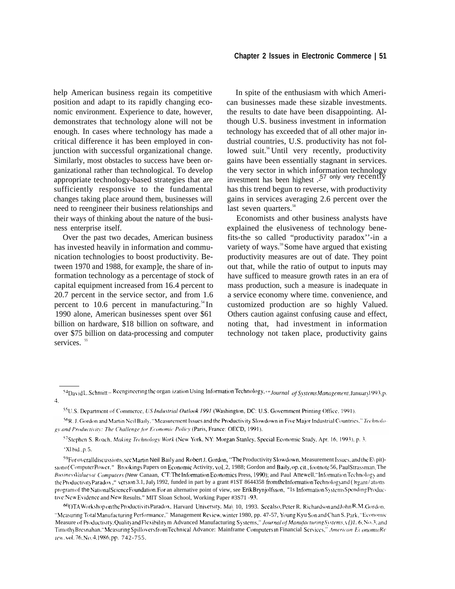help American business regain its competitive position and adapt to its rapidly changing economic environment. Experience to date, however, demonstrates that technology alone will not be enough. In cases where technology has made a critical difference it has been employed in conjunction with successful organizational change. Similarly, most obstacles to success have been organizational rather than technological. To develop appropriate technology-based strategies that are sufficiently responsive to the fundamental changes taking place around them, businesses will need to reengineer their business relationships and their ways of thinking about the nature of the business enterprise itself.

Over the past two decades, American business has invested heavily in information and communication technologies to boost productivity. Between 1970 and 1988, for examp]e, the share of information technology as a percentage of stock of capital equipment increased from 16.4 percent to 20.7 percent in the service sector, and from 1.6 percent to 10.6 percent in manufacturing. $54$  In 1990 alone, American businesses spent over \$61 billion on hardware, \$18 billion on software, and over \$75 billion on data-processing and computer services.<sup>55</sup>

In spite of the enthusiasm with which American businesses made these sizable investments. the results to date have been disappointing. Although U.S. business investment in information technology has exceeded that of all other major industrial countries, U.S. productivity has not followed suit.<sup>56</sup> Until very recently, productivity gains have been essentially stagnant in services. the very sector in which information technology investment has been highest .<sup>57</sup> only very recently has this trend begun to reverse, with productivity gains in services averaging 2.6 percent over the last seven quarters.<sup>58</sup>

Economists and other business analysts have explained the elusiveness of technology benefits-the so called "productivity paradox''-in a variety of ways.<sup>59</sup> Some have argued that existing productivity measures are out of date. They point out that, while the ratio of output to inputs may have sufficed to measure growth rates in an era of mass production, such a measure is inadequate in a service economy where time. convenience, and customized production are so highly Valued. Others caution against confusing cause and effect, noting that, had investment in information technology not taken place, productivity gains

<sup>57</sup>Stephen S. Roach, Making Technology Work (New York, NY: Morgan Stanley, Special Economic Study, Apr. 16, 1993), p. 3.

<sup>54</sup> David L, Schmitt -- Reengineering the organ ization Using Information Technology, *"Journal of Systems Management*, January 1993, p. 4,

<sup>&</sup>lt;sup>55</sup>U.S. Department of Commerce, *US Industrial Outlook 1991* (Washington, DC: U.S. Government Printing Office, 1991).

<sup>&</sup>lt;sup>56</sup>R. J. Gordon and Martin Neil Baily, "Measurement Issues and the Productivity Slowdown in Five Major Industrial Countries," Technology and Productivity: The Challenge for Economic Policy (Paris, France: OECD, 1991).

<sup>&#</sup>x27;Xl bid,, p, 5.

 $^{59}$ Foroverall discussions, see Martin Neil Baily and Robert J. Gordon, "The Productivity Slowdown, Measurement Issues, and the E\ pit)ston of Computer Power," Brookings Papers on Economic Activity, vol. 2, 1988; Gordon and Baily, op. cit., footnote 56, Paul Strassman, The BusinessValueso/ Computers (New Canaan, CT: The Information Economics Press, 1990); and Paul Attewell, "Information Technology and the Productivity Paradox ," version 3.1, July 1992, funded in part by a grant #1ST 8644358 from the Information Technology and ( )rgani/ations program of the National Science Foundation. For an alternative point of view, see Erik Brynjolfsson, "Is Information Systems Spending Productive:New Evidence and New Results." MIT Sloan School, Working Paper #3S71 -93.

 $^{60}$ OTA Workshop on the Productivity Paradox, Harvard University, Ma\ 10, 1993. See also, Peter R. Richardson and John R .M. Gordon "Measuring Total Manufacturing Performance," Management Review, winter 1980, pp. 47-57, Young Kyu Son and Chan S. Park, "Economic Measure of Productivity, Quality and Flex ibility m Advanced Manufacturing Systems," *Journal of Manufacturing Systems*,  $\chi$  [1. 6, No.3; and Timothy Bresnahan, "Measuring Spillovers from Technical Advance: Mainframe Computers In Financial Services," American EconomicRe **\**1['ti . k ( ~i. 76. N{). ~, ] 986, pp. 742-755.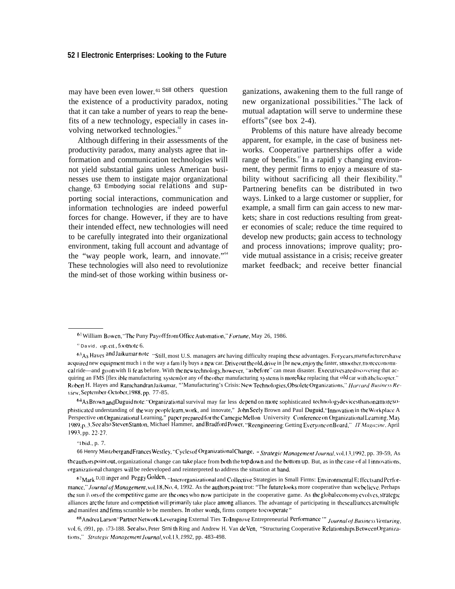may have been even lower. <sup>61</sup>Still others question the existence of a productivity paradox, noting that it can take a number of years to reap the benefits of a new technology, especially in cases involving networked technologies.<sup>62</sup>

Although differing in their assessments of the productivity paradox, many analysts agree that information and communication technologies will not yield substantial gains unless American businesses use them to instigate major organizational change. 63 Embodying social relations and supporting social interactions, communication and information technologies are indeed powerful forces for change. However, if they are to have their intended effect, new technologies will need to be carefully integrated into their organizational environment, taking full account and advantage of the "way people work, learn, and innovate."<sup>64</sup> These technologies will also need to revolutionize the mind-set of those working within business or-

ganizations, awakening them to the full range of new organizational possibilities.<sup>6s</sup> The lack of mutual adaptation will serve to undermine these efforts<sup>66</sup> (see box 2-4).

Problems of this nature have already become apparent, for example, in the case of business networks. Cooperative partnerships offer a wide range of benefits. $\sigma$  In a rapidl y changing environment, they permit firms to enjoy a measure of stability without sacrificing all their flexibility.<sup>68</sup> Partnering benefits can be distributed in two ways. Linked to a large customer or supplier, for example, a small firm can gain access to new markets; share in cost reductions resulting from greater economies of scale; reduce the time required to develop new products; gain access to technology and process innovations; improve quality; provide mutual assistance in a crisis; receive greater market feedback; and receive better financial

<sup>64</sup>As Brown and Duguid note: "Organizational survival may far less depend on more sophisticated technology devices than on a more sophisticated understanding of the way peoplelearn, work, and innovate," John Seely Brown and Paul Duguid, "Innovation in the Workplace A Perspective on Organizational Learning," paper prepared for the Carnegie Mellon University Conference on Organizational Learning, May 1989, p. 3. See also Steven Stanton, Michael Hammer, and Bradford Power, "Reengineering: Getting Everyone on Board," IT Magazine, April 1993, pp. 22-27.

 $"1$  bid., p. 7.

66 Henry Mintzberg and Frances Westley, "Cycles of Organizational Change, " Strategic Management Journal, vol.13, 1992, pp. 39-59, As the authors point out, organizational change can take place from both the top down and the bottom up. But, as in the case of al I innovations, organizational changes will be redeveloped and reinterpreted to address the situation at hand.

67 Mark D.)]] inger and Peggy Golden, "Interorganizational and Collective Strategies in Small Firms: Environmental E; ffects and Perfor*mance,'' Journal of Management, vol.* 18, No. 4, 1992. As the authors point trot: "The future looks more cooperative than we believe. Perhaps the sun i\  $\sigma$ rs of the competitive game are the ones who now participate in the cooperative game. As the global economy evolves, strategic alliances are the future and competition will primarily take place among alliances. The advantage of participating in these alliances are multiple and manifest and firms scramble to be members. In other words, firms compete to cooperate."

<sup>68</sup> Andrea Larson "Partner Network: Leveraging External Ties To Improve Entrepreneurial Performance "" *Journal of Business Venturing*, vol. 6, 1991, pp. 173-188. See also, Peter Srni th Ring and Andrew H. Van de Ven, "Structuring Cooperative Relationships Between Organizations," Strategic Management Journal, vol.13, 1992, pp. 483-498.

<sup>6&</sup>lt;sup>1</sup> William Bowen, "The Puny Payoff from Office Automation," *Fortune*, May 26, 1986.

 $62$  David, op. cit, footnote 6.

 $63A_5$  Haves and Jaikumar note  $\cdot$ Still, most U.S. managers arc having difficulty reaping these advantages. For years, manufacturers have acquired new equipment much i n the way a fam ily buys a new car. Drive out the old, drive in [he new, enjoy the faster, smoother, more economical ride—and go on with Ii fe as before. With the new technology, however, "as before" can mean disaster. Executives are discovering that acquiring an FMS [flex ible manufacturing system] or any of the other manufacturing systems is more like replacing that old car with a helicopter." Robert H. Hayes and Ramchandran Jaikumar, "'Manufacturing's Crisis: New Technologies, Obsolete Organizations," Harvard Business Review, September-October, 1988, pp. 77-85.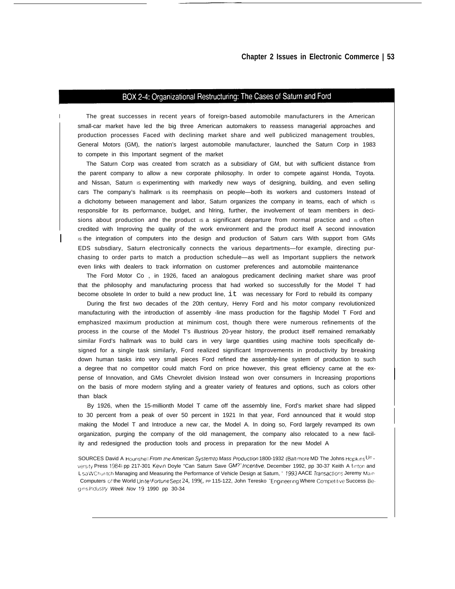#### BOX 2-4: Organizational Restructuring: The Cases of Saturn and Ford

The great successes in recent years of foreign-based automobile manufacturers in the American small-car market have led the big three American automakers to reassess managerial approaches and production processes Faced with declining market share and well publicized management troubles, General Motors (GM), the nation's largest automobile manufacturer, launched the Saturn Corp in 1983 to compete in this Important segment of the market

I

I

The Saturn Corp was created from scratch as a subsidiary of GM, but with sufficient distance from the parent company to allow a new corporate philosophy. In order to compete against Honda, Toyota. and Nissan, Saturn is experimenting with markedly new ways of designing, building, and even selling cars The company's hallmark is its reemphasis on people—both its workers and customers Instead of a dichotomy between management and labor, Saturn organizes the company in teams, each of which IS responsible for its performance, budget, and hlring, further, the involvement of team members in decisions about production and the product is a significant departure from normal practice and is often credited with Improving the quality of the work environment and the product itself A second innovation Is the integration of computers into the design and production of Saturn cars With support from GMs EDS subsdiary, Saturn electronically connects the various departments—for example, directing purchasing to order parts to match a production schedule—as well as Important suppliers the network even Iinks with dealers to track information on customer preferences and automobile maintenance

The Ford Motor Co , in 1926, faced an analogous predicament declining market share was proof that the philosophy and manufacturing process that had worked so successfully for the Model T had become obsolete In order to build a new product line, it was necessary for Ford to rebuild its company

During the first two decades of the 20th century, Henry Ford and his motor company revolutionized manufacturing with the introduction of assembly -line mass production for the flagship Model T Ford and emphasized maximum production at minimum cost, though there were numerous refinements of the process in the course of the Model T's illustrious 20-year history, the product itself remained remarkably similar Ford's hallmark was to build cars in very large quantities using machine tools specifically designed for a single task similarly, Ford realized significant Improvements in productivity by breaking down human tasks into very small pieces Ford refined the assembly-line system of production to such a degree that no competitor could match Ford on price however, this great efficiency came at the expense of Innovation, and GMs Chevrolet division Instead won over consumers in Increasing proportions on the basis of more modern styling and a greater variety of features and options, such as colors other than black

By 1926, when the 15-millionth Model T came off the assembly Iine, Ford's market share had slipped to 30 percent from a peak of over 50 percent in 1921 In that year, Ford announced that it would stop making the Model T and Introduce a new car, the Model A. In doing so, Ford largely revamped its own organization, purging the company of the old management, the company also relocated to a new facility and redesigned the production tools and process in preparation for the new Model A

SOURCES David A Hounshell From the American System to Mass Production 1800-1932 (Baltimore MD The Johns Hopkins Un versity Press 1984) pp 217-301 Kevin Doyle "Can Saturn Save GM?" Incentive. December 1992, pp 30-37 Keith A linton and L sa W Churltch Managing and Measuring the Performance of Vehicle Design at Saturn, ' 1993 AACE Transactions Jeremy Main Computers of the World Unitel Fortune Sept 24, 199(, PP 115-122, John Teresko "Engineering Where Competitive Success Begins Industry Week Nov 19 1990 pp 30-34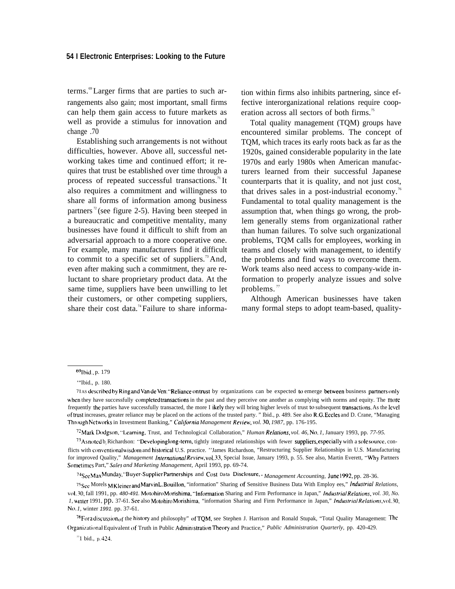#### **54 I Electronic Enterprises: Looking to the Future**

terms.<sup>69</sup> Larger firms that are parties to such arrangements also gain; most important, small firms can help them gain access to future markets as well as provide a stimulus for innovation and change .70

Establishing such arrangements is not without difficulties, however. Above all, successful networking takes time and continued effort; it requires that trust be established over time through a process of repeated successful transactions.<sup>71</sup>It also requires a commitment and willingness to share all forms of information among business partners<sup> $n$ </sup>(see figure 2-5). Having been steeped in a bureaucratic and competitive mentality, many businesses have found it difficult to shift from an adversarial approach to a more cooperative one. For example, many manufacturers find it difficult to commit to a specific set of suppliers.<sup>73</sup> And, even after making such a commitment, they are reluctant to share proprietary product data. At the same time, suppliers have been unwilling to let their customers, or other competing suppliers, share their cost data.<sup>74</sup> Failure to share information within firms also inhibits partnering, since effective interorganizational relations require cooperation across all sectors of both firms.<sup>75</sup>

Total quality management (TQM) groups have encountered similar problems. The concept of TQM, which traces its early roots back as far as the 1920s, gained considerable popularity in the late 1970s and early 1980s when American manufacturers learned from their successful Japanese counterparts that it is quality, and not just cost, that drives sales in a post-industrial economy.<sup>76</sup> Fundamental to total quality management is the assumption that, when things go wrong, the problem generally stems from organizational rather than human failures. To solve such organizational problems, TQM calls for employees, working in teams and closely with management, to identify the problems and find ways to overcome them. Work teams also need access to company-wide information to properly analyze issues and solve problems. $\frac{7}{7}$ 

Although American businesses have taken many formal steps to adopt team-based, quality-

'zMark Dodgs(m, "'Lcaming, Trust, and Technological Collaboration," *Human Re/a(ions, vol. 46, No, 1,* January 1993, pp. *77-95.*

74~ee Max Munday, "Buyer-Supp]ler Pannerships and Cost Data Disclosure, " *Management Accounting,* June 1992, pp. 28-36.

<sup>69</sup>Ibid., p. 179

<sup>&#</sup>x27;"Ibid., p. 180.

<sup>71</sup> As described by Ring and Van de Ven: "Reliance on trust by organizations can be expected to emerge between business partners only when they have successfully completed transactions in the past and they perceive one another as complying with norms and equity. The more frequently the parties have successfully transacted, the more I ikely they will bring higher levels of trust to subsequent transactions. As the level of trusl increases, greater reliance may be placed on the actions of the trusted party. " Ibid., p. 489. See also R.G. Eccles and D. Crane, "Managing Through Networks in Investment Banking," *California Management Review, vol.* 30, 1987, pp. 176-195.

 $^{73}$ As noted b, Richardson: "Developing long-term, tightly integrated relationships with fewer suppliers, especially with a sole source, conflicts with conventional wisdom and historical U.S. practice. "James Richardson, "Restructuring Supplier Relationships in U.S. Manufacturing for improved Quality," Management International Review, vol. 33, Special Issue, January 1993, p. 55. See also, Martin Everett, "Why Partners" Sometimes Part," Sales *and Marketing Management,* April 1993, pp. 69-74.

<sup>75</sup> See Morels M Kleiner and Marvin L. Bouillon, "information" Sharing of Sensitive Business Data With Employ ees," *Industrial Relations*, vol. 30, fall 1991, pp. 480-491. Motohiro Morishima, "Information Sharing and Firm Performance in Japan," *Industrial Relations, vol. 30, No. 1*, winter 1991, pp. 37-61. See also Motohiro Morishima, "information Sharing and Firm Performance in Japan," *Industrial Relations*, vol. 30, *N(). 1,* winter 1991. pp. 37-61.

 $76$ For a discussion of the history and philosophy" of TQM, see Stephen J. Harrison and Ronald Stupak, "Total Quality Management: The Organizational Equivalent of Truth in Public Administration Theory and Practice," *Public Administration Quarterly,* pp. 420-429.

 $^{\prime\prime}$ 1 bid., p. 424.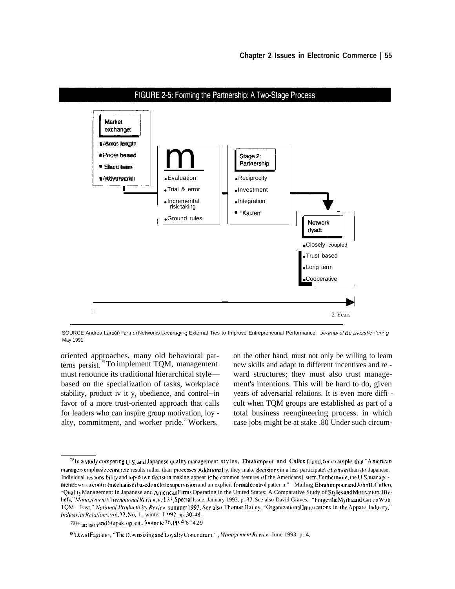

FIGURE 2-5: Forming the Partnership: A Two-Stage Process

SOURCE Andrea Larson Partner Networks Leveraging External Ties to Improve Entrepreneurial Performance Journal of Business Venturing May 1991

oriented approaches, many old behavioral pat- on the other hand, must not only be willing to learn terns persist. <sup>8</sup>To implement TQM, management new skills and adapt to different incentives and remust renounce its traditional hierarchical style— ward structures; they must also trust managebased on the specialization of tasks, workplace ment's intentions. This will be hard to do, given stability, product iv it y, obedience, and control--in years of adversarial relations. It is even more diffi favor of a more trust-oriented approach that calls cult when TQM groups are established as part of a for leaders who can inspire group motivation, loy - total business reengineering process. in which alty, commitment, and worker pride.<sup>79</sup> Workers, case jobs might be at stake .80 Under such circum-

 $^{78}$ In a study comparing U.S. and Japanese quality management styles, Ebrahimpour and Cullen found, for example, that "A merican managersemphasize concrete results rather than processes. Additionally, they make decisions in a less participate\ efashion than do Japanese. Individual responsibility and top-down decision making appear to be common features of the Americans} stem. Furthermore, the U.S. managementfavors a controlmechanismbasedonclose supervision and an explicit formal control patter n." Mailing Ebrahimpour and JohnB. Cullen, "Quality Management In Japanese and American Firms Operating in the United States: A Comparative Study of Styles and Motivational Beliefs," Management /r] ternational Review, vol.33, Special Issue, January 1993, p. 37. See also David Graves, "Forgetthe Myths and Get on With TQM-Fast," National Productivity Review, summer 1993. See also Thomas Bailey, "Organizational Innovations in the Apparel Industry," Industrial Relations, vol. 32, No. 1, winter I 992, pp. 30-48.

 $79$ <sup>+</sup>  $\frac{1}{4}$  arrison and Stupak, op. cit., footnote 76, pp.  $4.6$  " $429$ 

<sup>80</sup> David Fagiano, "The Downsizing and Loy alty Conundrum,", Management Review, June 1993. p. 4.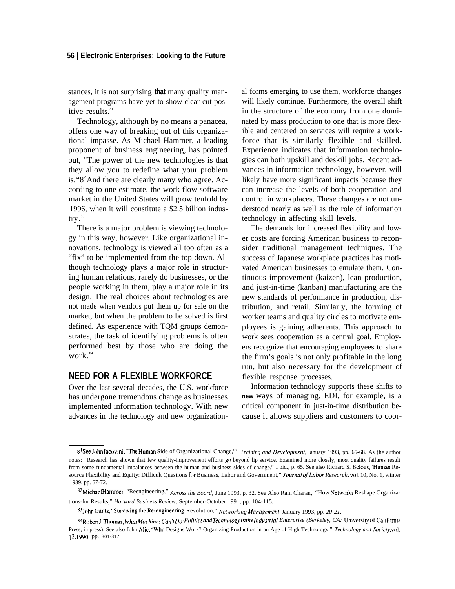#### **56 | Electronic Enterprises: Looking to the Future**

stances, it is not surprising **that** many quality management programs have yet to show clear-cut positive results.<sup>81</sup>

Technology, although by no means a panacea, offers one way of breaking out of this organizational impasse. As Michael Hammer, a leading proponent of business engineering, has pointed out, "The power of the new technologies is that they allow you to redefine what your problem is. " $8^2$ And there are clearly many who agree. According to one estimate, the work flow software market in the United States will grow tenfold by 1996, when it will constitute a \$2.5 billion industry.<sup>83</sup>

There is a major problem is viewing technology in this way, however. Like organizational innovations, technology is viewed all too often as a "fix" to be implemented from the top down. Although technology plays a major role in structuring human relations, rarely do businesses, or the people working in them, play a major role in its design. The real choices about technologies are not made when vendors put them up for sale on the market, but when the problem to be solved is first defined. As experience with TQM groups demonstrates, the task of identifying problems is often performed best by those who are doing the work.<sup>84</sup>

## **NEED FOR A FLEXIBLE WORKFORCE**

Over the last several decades, the U.S. workforce has undergone tremendous change as businesses implemented information technology. With new advances in the technology and new organizational forms emerging to use them, workforce changes will likely continue. Furthermore, the overall shift in the structure of the economy from one dominated by mass production to one that is more flexible and centered on services will require a workforce that is similarly flexible and skilled. Experience indicates that information technologies can both upskill and deskill jobs. Recent advances in information technology, however, will likely have more significant impacts because they can increase the levels of both cooperation and control in workplaces. These changes are not understood nearly as well as the role of information technology in affecting skill levels.

The demands for increased flexibility and lower costs are forcing American business to reconsider traditional management techniques. The success of Japanese workplace practices has motivated American businesses to emulate them. Continuous improvement (kaizen), lean production, and just-in-time (kanban) manufacturing are the new standards of performance in production, distribution, and retail. Similarly, the forming of worker teams and quality circles to motivate employees is gaining adherents. This approach to work sees cooperation as a central goal. Employers recognize that encouraging employees to share the firm's goals is not only profitable in the long run, but also necessary for the development of flexible response processes.

Information technology supports these shifts to **new** ways of managing. EDI, for example, is a critical component in just-in-time distribution because it allows suppliers and customers to coor-

<sup>8&</sup>lt;sup>1</sup>See John Iacovini, "The Human Side of Organizational Change,"" *Training and Development*, January 1993, pp. 65-68. As (he author notes: "Research has shown that few quality-improvement efforts go beyond lip service. Examined more closely, most quality failures result from some fundamental imbalances between the human and business sides of change." I bid., p. 65. See also Richard S. Belous, "Human Resource Flexibility and Equity: Difficult Questions for Business, Labor and Government," *Journal of Labor Research*, vol. 10, No. 1, winter 1989, pp. 67-72.

<sup>82</sup> Michael Hammer, "Reengineering," *Across the Board*, June 1993, p. 32. See Also Ram Charan, "How Networks Reshape Organizations-for Results," *Harvard Business Review,* September-October 1991, pp. 104-115.

<sup>83</sup> John Gantz, "Surviving the Re-engineering Revolution," *Networking Management*, January 1993, pp. 20-21.

<sup>84</sup>Robert J. Thomas, What Machines Can't Do: Politics and Technology in the Industrial Enterprise (Berkeley, CA: University of California Press, in press). See also John Alic, "Who Designs Work? Organizing Production in an Age of High Technology," Technology and Society, vol. *] 2, ]990,* pp. *301-317.*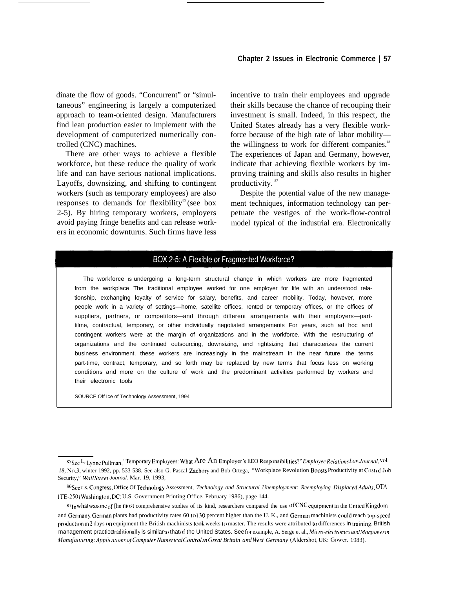dinate the flow of goods. "Concurrent" or "simultaneous" engineering is largely a computerized approach to team-oriented design. Manufacturers find lean production easier to implement with the development of computerized numerically controlled (CNC) machines.

There are other ways to achieve a flexible workforce, but these reduce the quality of work life and can have serious national implications. Layoffs, downsizing, and shifting to contingent workers (such as temporary employees) are also responses to demands for flexibility<sup>85</sup> (see box 2-5). By hiring temporary workers, employers avoid paying fringe benefits and can release workers in economic downturns. Such firms have less

incentive to train their employees and upgrade their skills because the chance of recouping their investment is small. Indeed, in this respect, the United States already has a very flexible workforce because of the high rate of labor mobility the willingness to work for different companies.<sup>86</sup> The experiences of Japan and Germany, however, indicate that achieving flexible workers by improving training and skills also results in higher productivity. <sup>87</sup>

Despite the potential value of the new management techniques, information technology can perpetuate the vestiges of the work-flow-control model typical of the industrial era. Electronically

## BOX 2-5: A Flexible or Fragmented Workforce?

The workforce is undergoing a long-term structural change in which workers are more fragmented from the workplace The traditional employee worked for one employer for life with an understood relationship, exchanging loyalty of service for salary, benefits, and career mobility. Today, however, more people work in a variety of settings—home, satellite offices, rented or temporary offices, or the offices of suppliers, partners, or competitors—and through different arrangements with their employers—parttilme, contractual, temporary, or other individually negotiated arrangements For years, such ad hoc and contingent workers were at the margin of organizations and in the workforce. With the restructuring of organizations and the continued outsourcing, downsizing, and rightsizing that characterizes the current business environment, these workers are Increasingly in the mainstream In the near future, the terms part-time, contract, temporary, and so forth may be replaced by new terms that focus less on working conditions and more on the culture of work and the predominant activities performed by workers and their electronic tools

SOURCE Off Ice of Technology Assessment, 1994

 $^{86}$ See U.S. Congress, Office Of Technology Assessment, *Technology and Structural Unemployment: Reemploying Displaced Adults*, OTA-*ITE-250* (Washington, DC: U.S. Government Printing Office, February 1986), page 144.

<sup>85</sup>See L, Lynne Pullman, "Temporary Employees: What Are An Employer's EEO Responsibilities?" *Employee Relations Law Journal*, vol. 18, No.3, winter 1992, pp. 533-538. See also G. Pascal Zachory and Bob Ortega, "Workplace Revolution Boosts Productivity at Cost of Job Security," *Wall Street* Journal, Mar. 19, 1993,

 $^{87}$ In what was one of [he most comprehensive studies of its kind, researchers compared the use of CNC equipment in the United Kingdom and Germany. German plants had productivity rates 60 to  $130$  percent higher than the U.K., and German machinists could reach top-speed production in 2 days on equipment the British machinists took weeks to master. The results were attributed to differences in training. British management practice traditionally is similar to that of the United States. See for example, A. Serge et al., Micro-electronics and Manpower in *Manufacturing: Applications of Computer Numerical Control in Great Britain and West Germany (Aldershot, UK: Gower, 1983).*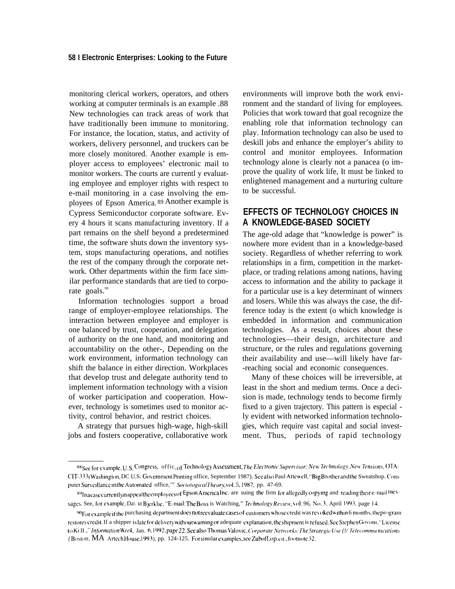monitoring clerical workers, operators, and others working at computer terminals is an example .88 New technologies can track areas of work that have traditionally been immune to monitoring. For instance, the location, status, and activity of workers, delivery personnel, and truckers can be more closely monitored. Another example is employer access to employees' electronic mail to monitor workers. The courts are currentl y evaluating employee and employer rights with respect to e-mail monitoring in a case involving the employees of Epson America. <sup>89</sup>Another example is Cypress Semiconductor corporate software. Every 4 hours it scans manufacturing inventory. If a part remains on the shelf beyond a predetermined time, the software shuts down the inventory system, stops manufacturing operations, and notifies the rest of the company through the corporate network. Other departments within the firm face similar performance standards that are tied to corporate goals.<sup>90</sup>

Information technologies support a broad range of employer-employee relationships. The interaction between employee and employer is one balanced by trust, cooperation, and delegation of authority on the one hand, and monitoring and accountability on the other-, Depending on the work environment, information technology can shift the balance in either direction. Workplaces that develop trust and delegate authority tend to implement information technology with a vision of worker participation and cooperation. However, technology is sometimes used to monitor activity, control behavior, and restrict choices.

A strategy that pursues high-wage, high-skill jobs and fosters cooperative, collaborative work

environments will improve both the work environment and the standard of living for employees. Policies that work toward that goal recognize the enabling role that information technology can play. Information technology can also be used to deskill jobs and enhance the employer's ability to control and monitor employees. Information technology alone is clearly not a panacea (o improve the quality of work life, It must be linked to enlightened management and a nurturing culture to be successful.

## **EFFECTS OF TECHNOLOGY CHOICES IN A KNOWLEDGE-BASED SOCIETY**

The age-old adage that "knowledge is power" is nowhere more evident than in a knowledge-based society. Regardless of whether referring to work relationships in a firm, competition in the marketplace, or trading relations among nations, having access to information and the ability to package it for a particular use is a key determinant of winners and losers. While this was always the case, the difference today is the extent (o which knowledge is embedded in information and communication technologies. As a result, choices about these technologies—their design, architecture and structure, or the rules and regulations governing their availability and use—will likely have far- -reaching social and economic consequences.

Many of these choices will be irreversible, at least in the short and medium terms. Once a decision is made, technology tends to become firmly fixed to a given trajectory. This pattern is especial ly evident with networked information technologies, which require vast capital and social investment. Thus, periods of rapid technology

<sup>88</sup> See for example, U.S. Congress, officeof Technology Assessment, The Electronic Supervisor: New Technology, New Tensions, OTA-CIT-333 (Washington, DC U.S. Government Printing office, September 1987). See also Paul Attewell, "Big Brother and the Sweatshop. Computer Surveillance in the Automated office," Sociological Theory, vol. 5, 1987, pp. 47-69.

<sup>&</sup>lt;sup>89</sup>Inacasecurrentlyinappealtheemployees of Epson America Inc. are suing the firm for allegedly copying and reading their e-mail messages. See, for example, Da\ Id Bjerklie, "E-mail: The Boss is Watching," *Technology Review*, vol. 96, No. 3, April 1993. page 14.

<sup>%</sup> For example if the purchasing department does not reevaluate cases of customers whose credit was revoked within 6 months, the program restores credit. If a shipper islate for delivery without warning or adequate explanation, the shipment is refused. See Stephen Govoni, "License to Ki II ," *Information Week*, Jan. 6, 1992, page 22. See also Thomas Valovic, *Corporate Networks: The Strategic Use* (*V* Telecommunications (Boston, MA Artech House, 1993), pp. 124-125. For similar examples, see Zuboff, op. cit., footnote 32.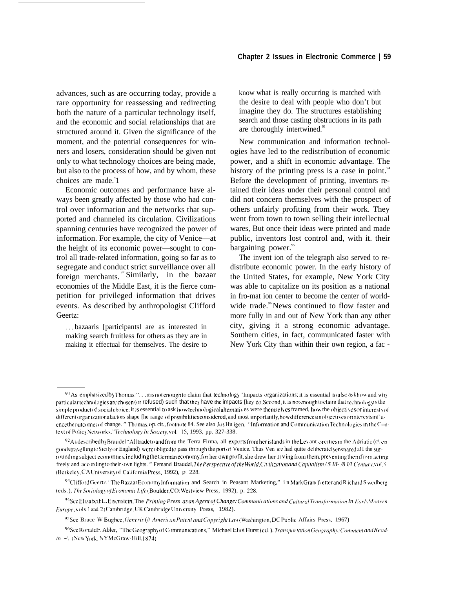advances, such as are occurring today, provide a rare opportunity for reassessing and redirecting both the nature of a particular technology itself, and the economic and social relationships that are structured around it. Given the significance of the moment, and the potential consequences for winners and losers, consideration should be given not only to what technology choices are being made, but also to the process of how, and by whom, these choices are made.<sup>9</sup>1

Economic outcomes and performance have always been greatly affected by those who had control over information and the networks that supported and channeled its circulation. Civilizations spanning centuries have recognized the power of information. For example, the city of Venice—at the height of its economic power—sought to control all trade-related information, going so far as to segregate and conduct strict surveillance over all foreign merchants.<sup>92</sup> Similarly, in the bazaar economies of the Middle East, it is the fierce competition for privileged information that drives events. As described by anthropologist Clifford Geertz:

. . . bazaaris [participantsl are as interested in making search fruitless for others as they are in making it effectual for themselves. The desire to

know what is really occurring is matched with the desire to deal with people who don't but imagine they do. The structures establishing search and those casting obstructions in its path are thoroughly intertwined.<sup>93</sup>

New communication and information technologies have led to the redistribution of economic power, and a shift in economic advantage. The history of the printing press is a case in point. $94$ Before the development of printing, inventors retained their ideas under their personal control and did not concern themselves with the prospect of others unfairly profiting from their work. They went from town to town selling their intellectual wares, But once their ideas were printed and made public, inventors lost control and, with it. their bargaining power.<sup>95</sup>

The invent ion of the telegraph also served to redistribute economic power. In the early history of the United States, for example, New York City was able to capitalize on its position as a national in fro-mat ion center to become the center of worldwide trade.<sup>96</sup>News continued to flow faster and more fully in and out of New York than any other city, giving it a strong economic advantage. Southern cities, in fact, communicated faster with New York City than within their own region, a fac -

 $91$  As emphasized by Thomas:". . ..tt is not enough to claim that technology 'Impacts organizations; it is essential to also ask how and why particular technologies are chosen (or refused) such that they have the impacts [hey do. Second, it is not enough to claim that technology is the simple product of social choice; it is essential to ask how technological alternatives were themselves framed, how the objectives or interests of differentorganizational actors shape [he range of possibilities considered, and most importantly, how differences in objectives or interests in fluence the outcomes of change. " Thomas, op. cit., footnote 84. See also Jos Hu igen, "Information and Communication Technologies in the Context of Policy Networks." *Technology In Society*, vol. 15, 1993, pp. 327-338.

 $^{92}$ As described by Braudel "All trade to and from the Terra Firma, all exports from her islands in the Levant or cities in the Adriatic (c\ en goodstravelling to Sicily or England) were obliged to pass through the port of Venice. Thus Ven Ice had quite deliberately ensnared al I the surrounding subject economies, including the German economy, for her own profit; she drew her I Iving from them, preventing them from acting freely and according to their own lights. " Femand Braudel, *The Perspective of the World*, *Civilization and Capitalism* /.\$ 1/1-/8 1/I Century, vol.3 (Berkeley, CAUniversity of California Press, 1992), p. 228.

 $^{93}$ Clifford Geertz, "The Bazaar Economy Information and Search in Peasant Marketing," in Mark Gran() etter and R ichard S wedberg (eds.), The Sociology of Economic Life (Boulder, CO: Westview Press, 1992), p. 228.

<sup>&</sup>lt;sup>94</sup>See Elizabeth L. Eisenstein, The Printing Press as an Agent of Change: Communications and Cultural Transformation In Early Modern *Furope*,  $\vee$  ols. *I* and 2( Cambridge, UK Cambridge University Press, 1982).

<sup>&</sup>lt;sup>95</sup>See Bruce W. Bugbee, Genesis (// American Patent and Copyright Law (Washington, DC Public Affairs Press, 1967)

<sup>%</sup>See Ronald F. Abler, "The Geography of Communications," Michael Eliot Hurst (ed.). Transportation Geography: Comment and Read- $In -\N$  (New York, NY McGraw-Hill, 1874).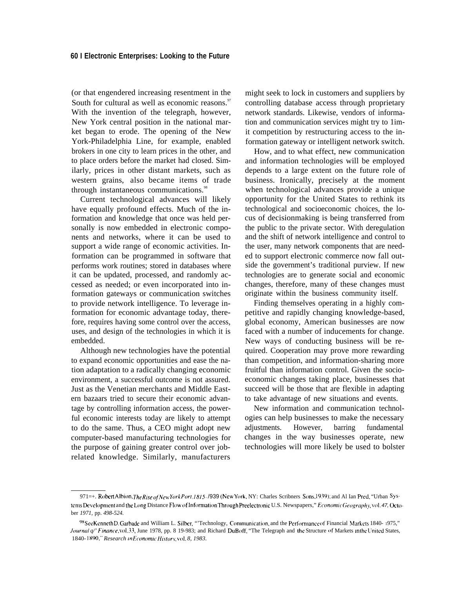(or that engendered increasing resentment in the South for cultural as well as economic reasons.<sup>97</sup> With the invention of the telegraph, however, New York central position in the national market began to erode. The opening of the New York-Philadelphia Line, for example, enabled brokers in one city to learn prices in the other, and to place orders before the market had closed. Similarly, prices in other distant markets, such as western grains, also became items of trade through instantaneous communications.<sup>98</sup>

Current technological advances will likely have equally profound effects. Much of the information and knowledge that once was held personally is now embedded in electronic components and networks, where it can be used to support a wide range of economic activities. Information can be programmed in software that performs work routines; stored in databases where it can be updated, processed, and randomly accessed as needed; or even incorporated into information gateways or communication switches to provide network intelligence. To leverage information for economic advantage today, therefore, requires having some control over the access, uses, and design of the technologies in which it is embedded.

Although new technologies have the potential to expand economic opportunities and ease the nation adaptation to a radically changing economic environment, a successful outcome is not assured. Just as the Venetian merchants and Middle Eastern bazaars tried to secure their economic advantage by controlling information access, the powerful economic interests today are likely to attempt to do the same. Thus, a CEO might adopt new computer-based manufacturing technologies for the purpose of gaining greater control over jobrelated knowledge. Similarly, manufacturers

might seek to lock in customers and suppliers by controlling database access through proprietary network standards. Likewise, vendors of information and communication services might try to 1imit competition by restructuring access to the information gateway or intelligent network switch.

How, and to what effect, new communication and information technologies will be employed depends to a large extent on the future role of business. Ironically, precisely at the moment when technological advances provide a unique opportunity for the United States to rethink its technological and socioeconomic choices, the locus of decisionmaking is being transferred from the public to the private sector. With deregulation and the shift of network intelligence and control to the user, many network components that are needed to support electronic commerce now fall outside the government's traditional purview. If new technologies are to generate social and economic changes, therefore, many of these changes must originate within the business community itself.

Finding themselves operating in a highly competitive and rapidly changing knowledge-based, global economy, American businesses are now faced with a number of inducements for change. New ways of conducting business will be required. Cooperation may prove more rewarding than competition, and information-sharing more fruitful than information control. Given the socioeconomic changes taking place, businesses that succeed will be those that are flexible in adapting to take advantage of new situations and events.

New information and communication technologies can help businesses to make the necessary adjustments. However, barring fundamental changes in the way businesses operate, new technologies will more likely be used to bolster

<sup>971=+.</sup> Robert Albion, The Rise of New York Port, 1815- /939 (New York, NY: Charles Scribners Sons, 1939); and Al Ian Pred, "Urban Systems Development and the Long Distance Flow of Information Through Preelectronic U.S. Newspapers," Economic Geography, vol. 47, October *1971,* pp. *498-524.*

<sup>&</sup>lt;sup>98</sup> See Kenneth D. Garbade and William L. Silber, "'Technology, Communication, and the Performance of Financial Markets 1840- 1975," *Journal q*<sup>/</sup> *Finance*, vol.33, June 1978, pp. 8 19-983; and Richard DuBoff, "The Telegraph and the Structure of Markets in the United States, 1840- 1890," Research in *Economic History*, vol. 8, 1983.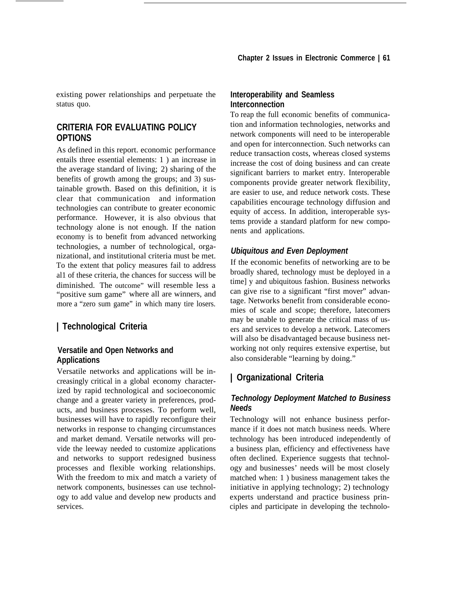existing power relationships and perpetuate the status quo.

#### **CRITERIA FOR EVALUATING POLICY OPTIONS**

As defined in this report. economic performance entails three essential elements: 1 ) an increase in the average standard of living; 2) sharing of the benefits of growth among the groups; and 3) sustainable growth. Based on this definition, it is clear that communication and information technologies can contribute to greater economic performance. However, it is also obvious that technology alone is not enough. If the nation economy is to benefit from advanced networking technologies, a number of technological, organizational, and institutional criteria must be met. To the extent that policy measures fail to address al1 of these criteria, the chances for success will be diminished. The outcome" will resemble less a "positive sum game" where all are winners, and more a "zero sum game" in which many tire losers.

## **| Technological Criteria**

#### **Versatile and Open Networks and Applications**

Versatile networks and applications will be increasingly critical in a global economy characterized by rapid technological and socioeconomic change and a greater variety in preferences, products, and business processes. To perform well, businesses will have to rapidly reconfigure their networks in response to changing circumstances and market demand. Versatile networks will provide the leeway needed to customize applications and networks to support redesigned business processes and flexible working relationships. With the freedom to mix and match a variety of network components, businesses can use technology to add value and develop new products and services.

#### **Interoperability and Seamless Interconnection**

To reap the full economic benefits of communication and information technologies, networks and network components will need to be interoperable and open for interconnection. Such networks can reduce transaction costs, whereas closed systems increase the cost of doing business and can create significant barriers to market entry. Interoperable components provide greater network flexibility, are easier to use, and reduce network costs. These capabilities encourage technology diffusion and equity of access. In addition, interoperable systems provide a standard platform for new components and applications.

#### *Ubiquitous and Even Deployment*

If the economic benefits of networking are to be broadly shared, technology must be deployed in a time] y and ubiquitous fashion. Business networks can give rise to a significant "first mover" advantage. Networks benefit from considerable economies of scale and scope; therefore, latecomers may be unable to generate the critical mass of users and services to develop a network. Latecomers will also be disadvantaged because business networking not only requires extensive expertise, but also considerable "learning by doing."

## **| Organizational Criteria**

## *Technology Deployment Matched to Business Needs*

Technology will not enhance business performance if it does not match business needs. Where technology has been introduced independently of a business plan, efficiency and effectiveness have often declined. Experience suggests that technology and businesses' needs will be most closely matched when: 1 ) business management takes the initiative in applying technology; 2) technology experts understand and practice business principles and participate in developing the technolo-